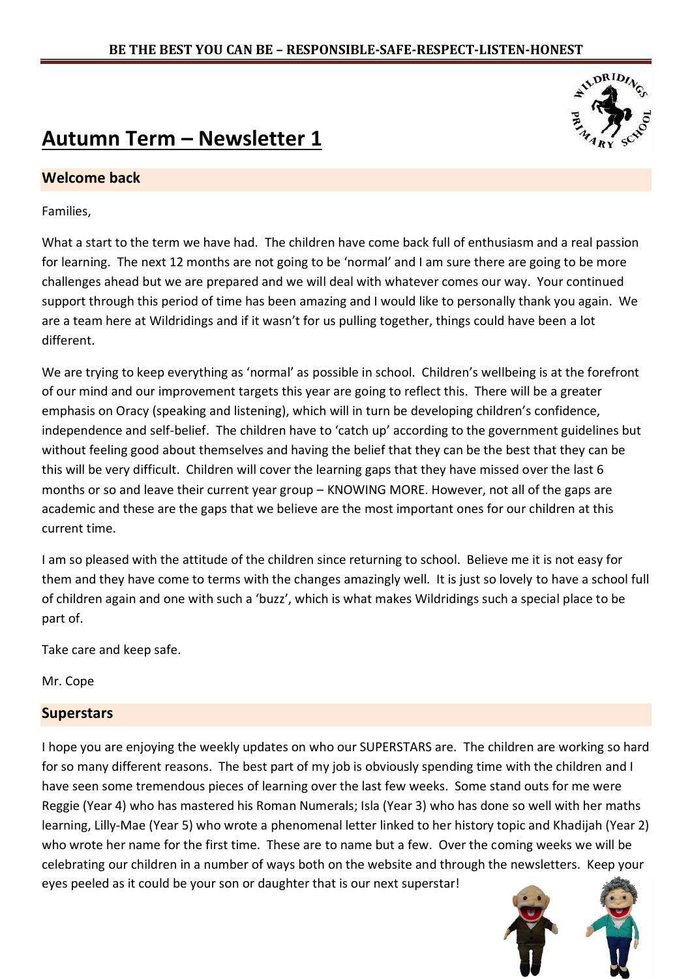# **Autumn Term – Newsletter 1**

## **Welcome back**

Families,

What a start to the term we have had. The children have come back full of enthusiasm and a real passion for learning. The next 12 months are not going to be 'normal' and I am sure there are going to be more challenges ahead but we are prepared and we will deal with whatever comes our way. Your continued support through this period of time has been amazing and I would like to personally thank you again. We are a team here at Wildridings and if it wasn't for us pulling together, things could have been a lot different.

We are trying to keep everything as 'normal' as possible in school. Children's wellbeing is at the forefront of our mind and our improvement targets this year are going to reflect this. There will be a greater emphasis on Oracy (speaking and listening), which will in turn be developing children's confidence, independence and self-belief. The children have to 'catch up' according to the government guidelines but without feeling good about themselves and having the belief that they can be the best that they can be this will be very difficult. Children will cover the learning gaps that they have missed over the last 6 months or so and leave their current year group – KNOWING MORE. However, not all of the gaps are academic and these are the gaps that we believe are the most important ones for our children at this current time.

I am so pleased with the attitude of the children since returning to school. Believe me it is not easy for them and they have come to terms with the changes amazingly well. It is just so lovely to have a school full of children again and one with such a 'buzz', which is what makes Wildridings such a special place to be part of.

Take care and keep safe.

Mr. Cope

### **Superstars**

I hope you are enjoying the weekly updates on who our SUPERSTARS are. The children are working so hard for so many different reasons. The best part of my job is obviously spending time with the children and I have seen some tremendous pieces of learning over the last few weeks. Some stand outs for me were Reggie (Year 4) who has mastered his Roman Numerals; Isla (Year 3) who has done so well with her maths learning, Lilly-Mae (Year 5) who wrote a phenomenal letter linked to her history topic and Khadijah (Year 2) who wrote her name for the first time. These are to name but a few. Over the coming weeks we will be celebrating our children in a number of ways both on the website and through the newsletters. Keep your eyes peeled as it could be your son or daughter that is our next superstar!



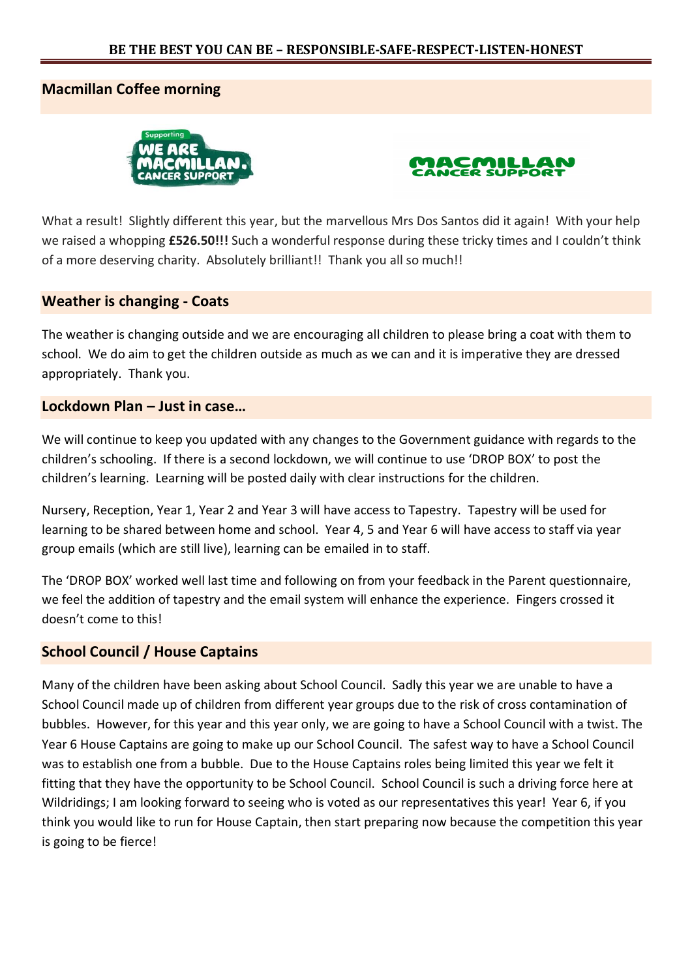## **Macmillan Coffee morning**





What a result! Slightly different this year, but the marvellous Mrs Dos Santos did it again! With your help we raised a whopping **£526.50!!!** Such a wonderful response during these tricky times and I couldn't think of a more deserving charity. Absolutely brilliant!! Thank you all so much!!

#### **Weather is changing - Coats**

The weather is changing outside and we are encouraging all children to please bring a coat with them to school. We do aim to get the children outside as much as we can and it is imperative they are dressed appropriately. Thank you.

## **Lockdown Plan – Just in case…**

We will continue to keep you updated with any changes to the Government guidance with regards to the children's schooling. If there is a second lockdown, we will continue to use 'DROP BOX' to post the children's learning. Learning will be posted daily with clear instructions for the children.

Nursery, Reception, Year 1, Year 2 and Year 3 will have access to Tapestry. Tapestry will be used for learning to be shared between home and school. Year 4, 5 and Year 6 will have access to staff via year group emails (which are still live), learning can be emailed in to staff.

The 'DROP BOX' worked well last time and following on from your feedback in the Parent questionnaire, we feel the addition of tapestry and the email system will enhance the experience. Fingers crossed it doesn't come to this!

### **School Council / House Captains**

Many of the children have been asking about School Council. Sadly this year we are unable to have a School Council made up of children from different year groups due to the risk of cross contamination of bubbles. However, for this year and this year only, we are going to have a School Council with a twist. The Year 6 House Captains are going to make up our School Council. The safest way to have a School Council was to establish one from a bubble. Due to the House Captains roles being limited this year we felt it fitting that they have the opportunity to be School Council. School Council is such a driving force here at Wildridings; I am looking forward to seeing who is voted as our representatives this year! Year 6, if you think you would like to run for House Captain, then start preparing now because the competition this year is going to be fierce!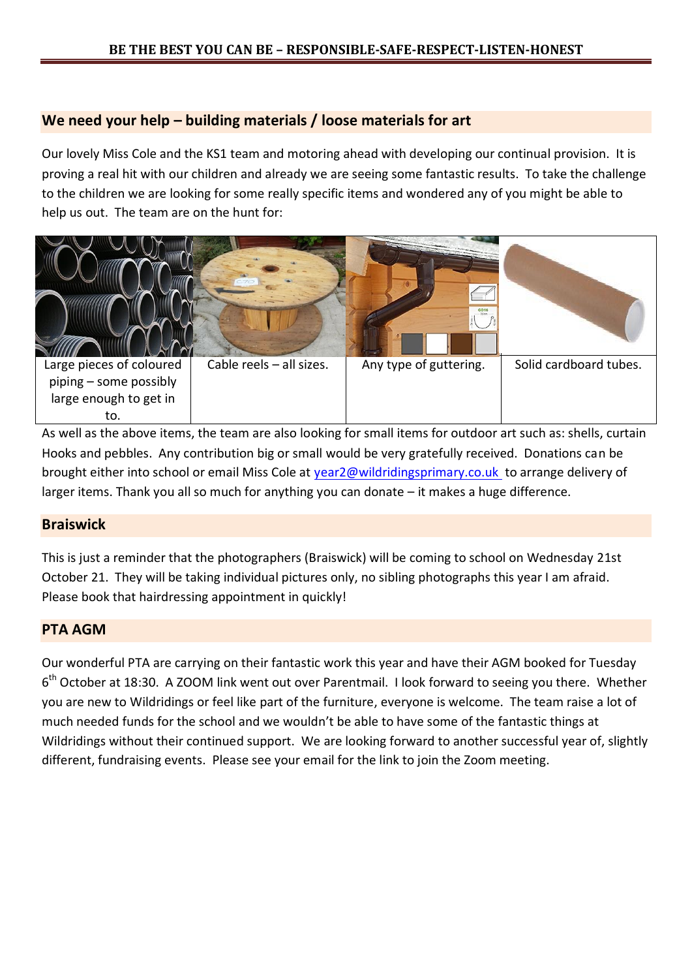## **We need your help – building materials / loose materials for art**

Our lovely Miss Cole and the KS1 team and motoring ahead with developing our continual provision. It is proving a real hit with our children and already we are seeing some fantastic results. To take the challenge to the children we are looking for some really specific items and wondered any of you might be able to help us out. The team are on the hunt for:



As well as the above items, the team are also looking for small items for outdoor art such as: shells, curtain Hooks and pebbles. Any contribution big or small would be very gratefully received. Donations can be brought either into school or email Miss Cole at [year2@wildridingsprimary.co.uk](mailto:year2@wildridingsprimary.co.uk) to arrange delivery of larger items. Thank you all so much for anything you can donate – it makes a huge difference.

### **Braiswick**

This is just a reminder that the photographers (Braiswick) will be coming to school on Wednesday 21st October 21. They will be taking individual pictures only, no sibling photographs this year I am afraid. Please book that hairdressing appointment in quickly!

### **PTA AGM**

Our wonderful PTA are carrying on their fantastic work this year and have their AGM booked for Tuesday 6<sup>th</sup> October at 18:30. A ZOOM link went out over Parentmail. I look forward to seeing you there. Whether you are new to Wildridings or feel like part of the furniture, everyone is welcome. The team raise a lot of much needed funds for the school and we wouldn't be able to have some of the fantastic things at Wildridings without their continued support. We are looking forward to another successful year of, slightly different, fundraising events. Please see your email for the link to join the Zoom meeting.